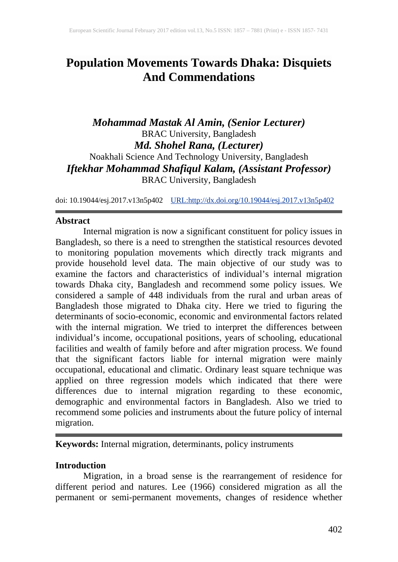# **Population Movements Towards Dhaka: Disquiets And Commendations**

## *Mohammad Mastak Al Amin, (Senior Lecturer)* BRAC University, Bangladesh *Md. Shohel Rana, (Lecturer)* Noakhali Science And Technology University, Bangladesh *Iftekhar Mohammad Shafiqul Kalam, (Assistant Professor)* BRAC University, Bangladesh

doi: 10.19044/esj.2017.v13n5p402 [URL:http://dx.doi.org/10.19044/esj.2017.v13n5p402](http://dx.doi.org/10.19044/esj.2017.v13n5p402)

## **Abstract**

Internal migration is now a significant constituent for policy issues in Bangladesh, so there is a need to strengthen the statistical resources devoted to monitoring population movements which directly track migrants and provide household level data. The main objective of our study was to examine the factors and characteristics of individual's internal migration towards Dhaka city, Bangladesh and recommend some policy issues. We considered a sample of 448 individuals from the rural and urban areas of Bangladesh those migrated to Dhaka city. Here we tried to figuring the determinants of socio-economic, economic and environmental factors related with the internal migration. We tried to interpret the differences between individual's income, occupational positions, years of schooling, educational facilities and wealth of family before and after migration process. We found that the significant factors liable for internal migration were mainly occupational, educational and climatic. Ordinary least square technique was applied on three regression models which indicated that there were differences due to internal migration regarding to these economic, demographic and environmental factors in Bangladesh. Also we tried to recommend some policies and instruments about the future policy of internal migration.

**Keywords:** Internal migration, determinants, policy instruments

## **Introduction**

Migration, in a broad sense is the rearrangement of residence for different period and natures. Lee (1966) considered migration as all the permanent or semi-permanent movements, changes of residence whether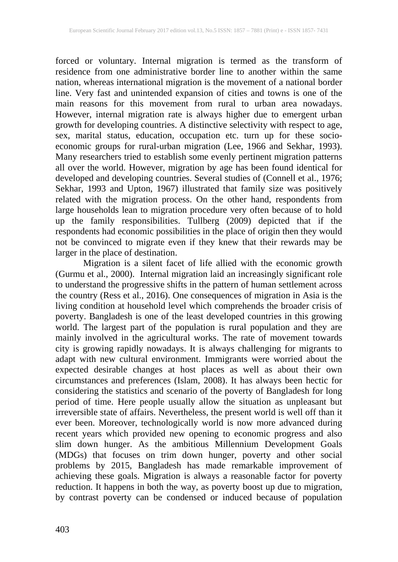forced or voluntary. Internal migration is termed as the transform of residence from one administrative border line to another within the same nation, whereas international migration is the movement of a national border line. Very fast and unintended expansion of cities and towns is one of the main reasons for this movement from rural to urban area nowadays. However, internal migration rate is always higher due to emergent urban growth for developing countries. A distinctive selectivity with respect to age, sex, marital status, education, occupation etc. turn up for these socioeconomic groups for rural-urban migration (Lee, 1966 and Sekhar, 1993). Many researchers tried to establish some evenly pertinent migration patterns all over the world. However, migration by age has been found identical for developed and developing countries. Several studies of (Connell et al., 1976; Sekhar, 1993 and Upton, 1967) illustrated that family size was positively related with the migration process. On the other hand, respondents from large households lean to migration procedure very often because of to hold up the family responsibilities. Tullberg (2009) depicted that if the respondents had economic possibilities in the place of origin then they would not be convinced to migrate even if they knew that their rewards may be larger in the place of destination.

Migration is a silent facet of life allied with the economic growth (Gurmu et al., 2000). Internal migration laid an increasingly significant role to understand the progressive shifts in the pattern of human settlement across the country (Ress et al., 2016). One consequences of migration in Asia is the living condition at household level which comprehends the broader crisis of poverty. Bangladesh is one of the least developed countries in this growing world. The largest part of the population is rural population and they are mainly involved in the agricultural works. The rate of movement towards city is growing rapidly nowadays. It is always challenging for migrants to adapt with new cultural environment. Immigrants were worried about the expected desirable changes at host places as well as about their own circumstances and preferences (Islam, 2008). It has always been hectic for considering the statistics and scenario of the poverty of Bangladesh for long period of time. Here people usually allow the situation as unpleasant but irreversible state of affairs. Nevertheless, the present world is well off than it ever been. Moreover, technologically world is now more advanced during recent years which provided new opening to economic progress and also slim down hunger. As the ambitious Millennium Development Goals (MDGs) that focuses on trim down hunger, poverty and other social problems by 2015, Bangladesh has made remarkable improvement of achieving these goals. Migration is always a reasonable factor for poverty reduction. It happens in both the way, as poverty boost up due to migration, by contrast poverty can be condensed or induced because of population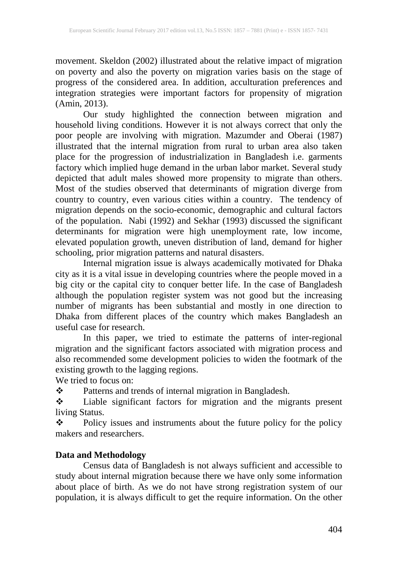movement. Skeldon (2002) illustrated about the relative impact of migration on poverty and also the poverty on migration varies basis on the stage of progress of the considered area. In addition, acculturation preferences and integration strategies were important factors for propensity of migration (Amin, 2013).

Our study highlighted the connection between migration and household living conditions. However it is not always correct that only the poor people are involving with migration. Mazumder and Oberai (1987) illustrated that the internal migration from rural to urban area also taken place for the progression of industrialization in Bangladesh i.e. garments factory which implied huge demand in the urban labor market. Several study depicted that adult males showed more propensity to migrate than others. Most of the studies observed that determinants of migration diverge from country to country, even various cities within a country. The tendency of migration depends on the socio-economic, demographic and cultural factors of the population. Nabi (1992) and Sekhar (1993) discussed the significant determinants for migration were high unemployment rate, low income, elevated population growth, uneven distribution of land, demand for higher schooling, prior migration patterns and natural disasters.

Internal migration issue is always academically motivated for Dhaka city as it is a vital issue in developing countries where the people moved in a big city or the capital city to conquer better life. In the case of Bangladesh although the population register system was not good but the increasing number of migrants has been substantial and mostly in one direction to Dhaka from different places of the country which makes Bangladesh an useful case for research.

In this paper, we tried to estimate the patterns of inter-regional migration and the significant factors associated with migration process and also recommended some development policies to widen the footmark of the existing growth to the lagging regions.

We tried to focus on:

\* Patterns and trends of internal migration in Bangladesh.

 Liable significant factors for migration and the migrants present living Status.

\* Policy issues and instruments about the future policy for the policy makers and researchers.

## **Data and Methodology**

Census data of Bangladesh is not always sufficient and accessible to study about internal migration because there we have only some information about place of birth. As we do not have strong registration system of our population, it is always difficult to get the require information. On the other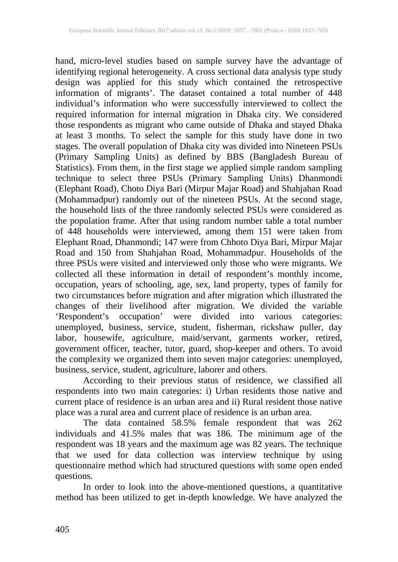hand, micro-level studies based on sample survey have the advantage of identifying regional heterogeneity. A cross sectional data analysis type study design was applied for this study which contained the retrospective information of migrants'. The dataset contained a total number of 448 individual's information who were successfully interviewed to collect the required information for internal migration in Dhaka city. We considered those respondents as migrant who came outside of Dhaka and stayed Dhaka at least 3 months. To select the sample for this study have done in two stages. The overall population of Dhaka city was divided into Nineteen PSUs (Primary Sampling Units) as defined by BBS (Bangladesh Bureau of Statistics). From them, in the first stage we applied simple random sampling technique to select three PSUs (Primary Sampling Units) Dhanmondi (Elephant Road), Choto Diya Bari (Mirpur Majar Road) and Shahjahan Road (Mohammadpur) randomly out of the nineteen PSUs. At the second stage, the household lists of the three randomly selected PSUs were considered as the population frame. After that using random number table a total number of 448 households were interviewed, among them 151 were taken from Elephant Road, Dhanmondi; 147 were from Chhoto Diya Bari, Mirpur Majar Road and 150 from Shahjahan Road, Mohammadpur. Households of the three PSUs were visited and interviewed only those who were migrants. We collected all these information in detail of respondent's monthly income, occupation, years of schooling, age, sex, land property, types of family for two circumstances before migration and after migration which illustrated the changes of their livelihood after migration. We divided the variable 'Respondent's occupation' were divided into various categories: unemployed, business, service, student, fisherman, rickshaw puller, day labor, housewife, agriculture, maid/servant, garments worker, retired, government officer, teacher, tutor, guard, shop-keeper and others. To avoid the complexity we organized them into seven major categories: unemployed, business, service, student, agriculture, laborer and others.

According to their previous status of residence, we classified all respondents into two main categories: i) Urban residents those native and current place of residence is an urban area and ii) Rural resident those native place was a rural area and current place of residence is an urban area.

The data contained 58.5% female respondent that was 262 individuals and 41.5% males that was 186. The minimum age of the respondent was 18 years and the maximum age was 82 years. The technique that we used for data collection was interview technique by using questionnaire method which had structured questions with some open ended questions.

In order to look into the above-mentioned questions, a quantitative method has been utilized to get in-depth knowledge. We have analyzed the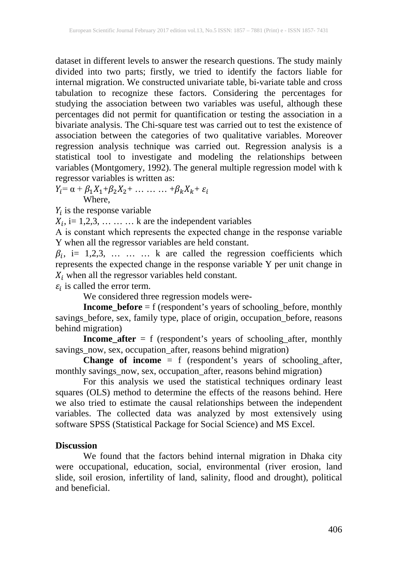dataset in different levels to answer the research questions. The study mainly divided into two parts; firstly, we tried to identify the factors liable for internal migration. We constructed univariate table, bi-variate table and cross tabulation to recognize these factors. Considering the percentages for studying the association between two variables was useful, although these percentages did not permit for quantification or testing the association in a bivariate analysis. The Chi-square test was carried out to test the existence of association between the categories of two qualitative variables. Moreover regression analysis technique was carried out. Regression analysis is a statistical tool to investigate and modeling the relationships between variables (Montgomery, 1992). The general multiple regression model with k regressor variables is written as:

 $Y_i = \alpha + \beta_1 X_1 + \beta_2 X_2 + \ldots + \beta_k X_k + \varepsilon_i$ **Where** 

 $Y_i$  is the response variable

 $X_i$ , i= 1,2,3, ... ... k are the independent variables

Α is constant which represents the expected change in the response variable Y when all the regressor variables are held constant.

 $\beta_i$ , i= 1,2,3, ... ... k are called the regression coefficients which represents the expected change in the response variable Y per unit change in  $X_i$  when all the regressor variables held constant.

 $\varepsilon_i$  is called the error term.

We considered three regression models were-

**Income\_before** = f (respondent's years of schooling\_before, monthly savings\_before, sex, family type, place of origin, occupation\_before, reasons behind migration)

**Income\_after** = f (respondent's years of schooling\_after, monthly savings\_now, sex, occupation\_after, reasons behind migration)

**Change of income** = f (respondent's years of schooling\_after, monthly savings\_now, sex, occupation\_after, reasons behind migration)

For this analysis we used the statistical techniques ordinary least squares (OLS) method to determine the effects of the reasons behind. Here we also tried to estimate the causal relationships between the independent variables. The collected data was analyzed by most extensively using software SPSS (Statistical Package for Social Science) and MS Excel.

### **Discussion**

We found that the factors behind internal migration in Dhaka city were occupational, education, social, environmental (river erosion, land slide, soil erosion, infertility of land, salinity, flood and drought), political and beneficial.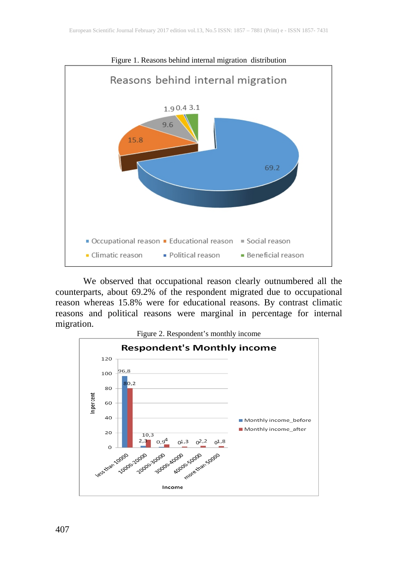

We observed that occupational reason clearly outnumbered all the counterparts, about 69.2% of the respondent migrated due to occupational reason whereas 15.8% were for educational reasons. By contrast climatic reasons and political reasons were marginal in percentage for internal migration.



Figure 1. Reasons behind internal migration distribution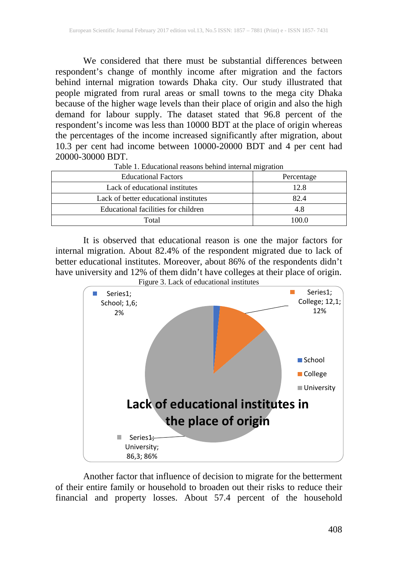We considered that there must be substantial differences between respondent's change of monthly income after migration and the factors behind internal migration towards Dhaka city. Our study illustrated that people migrated from rural areas or small towns to the mega city Dhaka because of the higher wage levels than their place of origin and also the high demand for labour supply. The dataset stated that 96.8 percent of the respondent's income was less than 10000 BDT at the place of origin whereas the percentages of the income increased significantly after migration, about 10.3 per cent had income between 10000-20000 BDT and 4 per cent had 20000-30000 BDT. Table 1. Educational reasons behind internal migration

| <b>Educational Factors</b>            | Percentage |  |
|---------------------------------------|------------|--|
| Lack of educational institutes        | 12.8       |  |
| Lack of better educational institutes | 82.4       |  |
| Educational facilities for children   | 4.8        |  |
| Total                                 | 100 O      |  |

It is observed that educational reason is one the major factors for internal migration. About 82.4% of the respondent migrated due to lack of better educational institutes. Moreover, about 86% of the respondents didn't have university and 12% of them didn't have colleges at their place of origin. Figure 3. Lack of educational institutes



Another factor that influence of decision to migrate for the betterment of their entire family or household to broaden out their risks to reduce their financial and property losses. About 57.4 percent of the household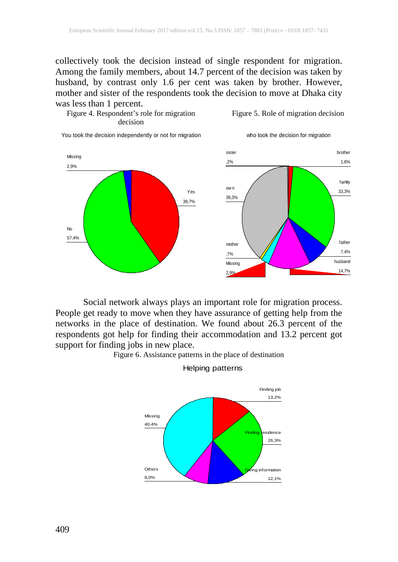collectively took the decision instead of single respondent for migration. Among the family members, about 14.7 percent of the decision was taken by husband, by contrast only 1.6 per cent was taken by brother. However, mother and sister of the respondents took the decision to move at Dhaka city was less than 1 percent.



#### Figure 5. Role of migration decision

who took the decision for migration





Social network always plays an important role for migration process. People get ready to move when they have assurance of getting help from the networks in the place of destination. We found about 26.3 percent of the respondents got help for finding their accommodation and 13.2 percent got support for finding jobs in new place.





Helping patterns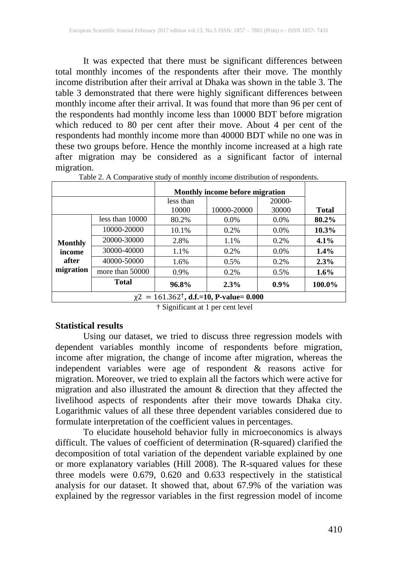It was expected that there must be significant differences between total monthly incomes of the respondents after their move. The monthly income distribution after their arrival at Dhaka was shown in the table 3. The table 3 demonstrated that there were highly significant differences between monthly income after their arrival. It was found that more than 96 per cent of the respondents had monthly income less than 10000 BDT before migration which reduced to 80 per cent after their move. About 4 per cent of the respondents had monthly income more than 40000 BDT while no one was in these two groups before. Hence the monthly income increased at a high rate after migration may be considered as a significant factor of internal migration.

|                                                           | Monthly income before migration |           |             |         |              |  |
|-----------------------------------------------------------|---------------------------------|-----------|-------------|---------|--------------|--|
|                                                           |                                 | less than |             | 20000-  |              |  |
|                                                           |                                 | 10000     | 10000-20000 | 30000   | <b>Total</b> |  |
| <b>Monthly</b><br>income<br>after<br>migration            | less than $10000$               | 80.2%     | $0.0\%$     | $0.0\%$ | 80.2%        |  |
|                                                           | 10000-20000                     | 10.1%     | 0.2%        | $0.0\%$ | $10.3\%$     |  |
|                                                           | 20000-30000                     | 2.8%      | 1.1%        | $0.2\%$ | 4.1%         |  |
|                                                           | 30000-40000                     | 1.1%      | $0.2\%$     | $0.0\%$ | $1.4\%$      |  |
|                                                           | 40000-50000                     | 1.6%      | 0.5%        | $0.2\%$ | 2.3%         |  |
|                                                           | more than 50000                 | 0.9%      | $0.2\%$     | 0.5%    | $1.6\%$      |  |
|                                                           | <b>Total</b>                    | 96.8%     | 2.3%        | $0.9\%$ | 100.0%       |  |
| $\chi$ 2 = 161.362 <sup>†</sup> , d.f.=10, P-value= 0.000 |                                 |           |             |         |              |  |

Table 2. A Comparative study of monthly income distribution of respondents.

† Significant at 1 per cent level

### **Statistical results**

Using our dataset, we tried to discuss three regression models with dependent variables monthly income of respondents before migration, income after migration, the change of income after migration, whereas the independent variables were age of respondent & reasons active for migration. Moreover, we tried to explain all the factors which were active for migration and also illustrated the amount & direction that they affected the livelihood aspects of respondents after their move towards Dhaka city. Logarithmic values of all these three dependent variables considered due to formulate interpretation of the coefficient values in percentages.

To elucidate household behavior fully in microeconomics is always difficult. The values of coefficient of determination (R-squared) clarified the decomposition of total variation of the dependent variable explained by one or more explanatory variables (Hill 2008). The R-squared values for these three models were 0.679, 0.620 and 0.633 respectively in the statistical analysis for our dataset. It showed that, about 67.9% of the variation was explained by the regressor variables in the first regression model of income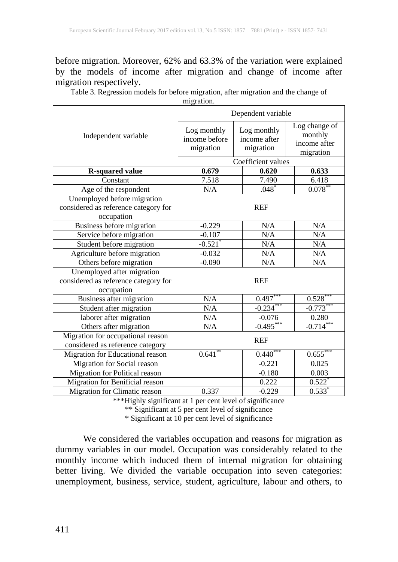before migration. Moreover, 62% and 63.3% of the variation were explained by the models of income after migration and change of income after migration respectively.

Table 3. Regression models for before migration, after migration and the change of migration.

|                                                                                   | Dependent variable                        |                                          |                                                       |  |  |
|-----------------------------------------------------------------------------------|-------------------------------------------|------------------------------------------|-------------------------------------------------------|--|--|
| Independent variable                                                              | Log monthly<br>income before<br>migration | Log monthly<br>income after<br>migration | Log change of<br>monthly<br>income after<br>migration |  |  |
|                                                                                   |                                           | Coefficient values                       |                                                       |  |  |
| <b>R-squared value</b>                                                            | 0.679                                     | 0.620                                    | 0.633                                                 |  |  |
| Constant                                                                          | 7.518                                     | 7.490                                    | 6.418                                                 |  |  |
| Age of the respondent                                                             | N/A                                       | $.048*$                                  | $0.078***$                                            |  |  |
| Unemployed before migration<br>considered as reference category for<br>occupation | <b>REF</b>                                |                                          |                                                       |  |  |
| Business before migration                                                         | $-0.229$                                  | N/A                                      | N/A                                                   |  |  |
| Service before migration                                                          | $-0.107$                                  | N/A                                      | N/A                                                   |  |  |
| Student before migration                                                          | $-0.521$ <sup>*</sup>                     | N/A                                      | N/A                                                   |  |  |
| Agriculture before migration                                                      | $-0.032$                                  | N/A                                      | N/A                                                   |  |  |
| Others before migration                                                           | $-0.090$                                  | N/A                                      | N/A                                                   |  |  |
| Unemployed after migration<br>considered as reference category for<br>occupation  | <b>REF</b>                                |                                          |                                                       |  |  |
| Business after migration                                                          | N/A                                       | $0.497***$                               | $0.528***$                                            |  |  |
| Student after migration                                                           | N/A                                       | $-0.234***$                              | $-0.773***$                                           |  |  |
| laborer after migration                                                           | N/A                                       | $-0.076$                                 | 0.280                                                 |  |  |
| Others after migration                                                            | N/A                                       | $-0.495***$                              | $-0.714***$                                           |  |  |
| Migration for occupational reason<br>considered as reference category             | <b>REF</b>                                |                                          |                                                       |  |  |
| Migration for Educational reason                                                  | $0.641**$                                 | $0.440***$                               | $0.655***$                                            |  |  |
| Migration for Social reason                                                       |                                           | $-0.221$                                 | 0.025                                                 |  |  |
| Migration for Political reason                                                    |                                           | $-0.180$                                 | 0.003                                                 |  |  |
| Migration for Benificial reason                                                   |                                           | 0.222                                    | $0.522$ <sup>*</sup>                                  |  |  |
| Migration for Climatic reason                                                     | 0.337                                     | $-0.229$                                 | $0.533*$                                              |  |  |

\*\*\*Highly significant at 1 per cent level of significance

\*\* Significant at 5 per cent level of significance

\* Significant at 10 per cent level of significance

We considered the variables occupation and reasons for migration as dummy variables in our model. Occupation was considerably related to the monthly income which induced them of internal migration for obtaining better living. We divided the variable occupation into seven categories: unemployment, business, service, student, agriculture, labour and others, to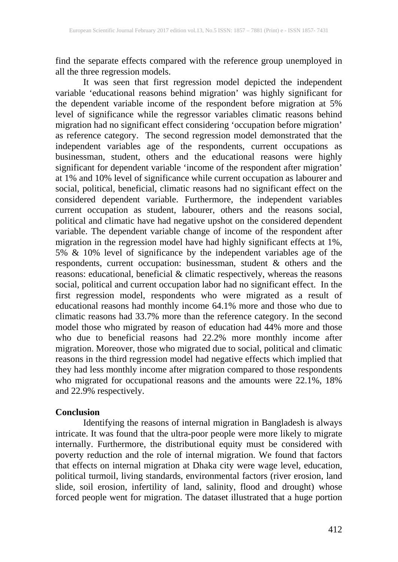find the separate effects compared with the reference group unemployed in all the three regression models.

It was seen that first regression model depicted the independent variable 'educational reasons behind migration' was highly significant for the dependent variable income of the respondent before migration at 5% level of significance while the regressor variables climatic reasons behind migration had no significant effect considering 'occupation before migration' as reference category. The second regression model demonstrated that the independent variables age of the respondents, current occupations as businessman, student, others and the educational reasons were highly significant for dependent variable 'income of the respondent after migration' at 1% and 10% level of significance while current occupation as labourer and social, political, beneficial, climatic reasons had no significant effect on the considered dependent variable. Furthermore, the independent variables current occupation as student, labourer, others and the reasons social, political and climatic have had negative upshot on the considered dependent variable. The dependent variable change of income of the respondent after migration in the regression model have had highly significant effects at 1%, 5% & 10% level of significance by the independent variables age of the respondents, current occupation: businessman, student & others and the reasons: educational, beneficial & climatic respectively, whereas the reasons social, political and current occupation labor had no significant effect. In the first regression model, respondents who were migrated as a result of educational reasons had monthly income 64.1% more and those who due to climatic reasons had 33.7% more than the reference category. In the second model those who migrated by reason of education had 44% more and those who due to beneficial reasons had 22.2% more monthly income after migration. Moreover, those who migrated due to social, political and climatic reasons in the third regression model had negative effects which implied that they had less monthly income after migration compared to those respondents who migrated for occupational reasons and the amounts were 22.1%, 18% and 22.9% respectively.

### **Conclusion**

Identifying the reasons of internal migration in Bangladesh is always intricate. It was found that the ultra-poor people were more likely to migrate internally. Furthermore, the distributional equity must be considered with poverty reduction and the role of internal migration. We found that factors that effects on internal migration at Dhaka city were wage level, education, political turmoil, living standards, environmental factors (river erosion, land slide, soil erosion, infertility of land, salinity, flood and drought) whose forced people went for migration. The dataset illustrated that a huge portion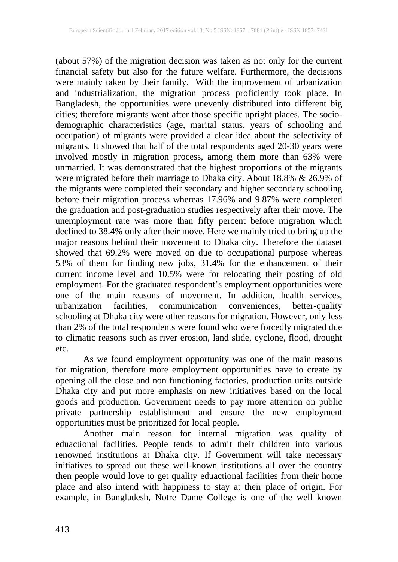(about 57%) of the migration decision was taken as not only for the current financial safety but also for the future welfare. Furthermore, the decisions were mainly taken by their family. With the improvement of urbanization and industrialization, the migration process proficiently took place. In Bangladesh, the opportunities were unevenly distributed into different big cities; therefore migrants went after those specific upright places. The sociodemographic characteristics (age, marital status, years of schooling and occupation) of migrants were provided a clear idea about the selectivity of migrants. It showed that half of the total respondents aged 20-30 years were involved mostly in migration process, among them more than 63% were unmarried. It was demonstrated that the highest proportions of the migrants were migrated before their marriage to Dhaka city. About 18.8% & 26.9% of the migrants were completed their secondary and higher secondary schooling before their migration process whereas 17.96% and 9.87% were completed the graduation and post-graduation studies respectively after their move. The unemployment rate was more than fifty percent before migration which declined to 38.4% only after their move. Here we mainly tried to bring up the major reasons behind their movement to Dhaka city. Therefore the dataset showed that 69.2% were moved on due to occupational purpose whereas 53% of them for finding new jobs, 31.4% for the enhancement of their current income level and 10.5% were for relocating their posting of old employment. For the graduated respondent's employment opportunities were one of the main reasons of movement. In addition, health services, urbanization facilities, communication conveniences, better-quality urbanization facilities, communication conveniences, schooling at Dhaka city were other reasons for migration. However, only less than 2% of the total respondents were found who were forcedly migrated due to climatic reasons such as river erosion, land slide, cyclone, flood, drought etc.

As we found employment opportunity was one of the main reasons for migration, therefore more employment opportunities have to create by opening all the close and non functioning factories, production units outside Dhaka city and put more emphasis on new initiatives based on the local goods and production. Government needs to pay more attention on public private partnership establishment and ensure the new employment opportunities must be prioritized for local people.

Another main reason for internal migration was quality of eduactional facilities. People tends to admit their children into various renowned institutions at Dhaka city. If Government will take necessary initiatives to spread out these well-known institutions all over the country then people would love to get quality eduactional facilities from their home place and also intend with happiness to stay at their place of origin. For example, in Bangladesh, Notre Dame College is one of the well known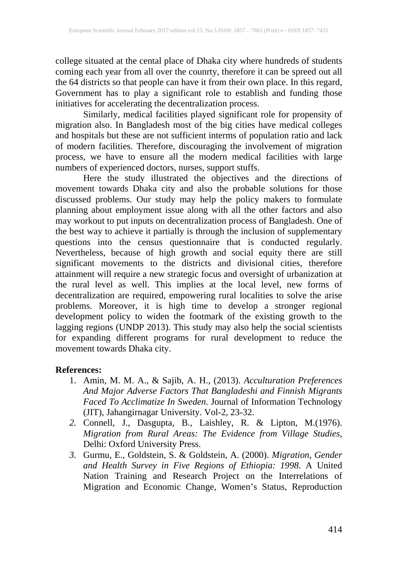college situated at the cental place of Dhaka city where hundreds of students coming each year from all over the counrty, therefore it can be spreed out all the 64 districts so that people can have it from their own place. In this regard, Government has to play a significant role to establish and funding those initiatives for accelerating the decentralization process.

Similarly, medical facilities played significant role for propensity of migration also. In Bangladesh most of the big cities have medical colleges and hospitals but these are not sufficient interms of population ratio and lack of modern facilities. Therefore, discouraging the involvement of migration process, we have to ensure all the modern medical facilities with large numbers of experienced doctors, nurses, support stuffs.<br>Here the study illustrated the objectives and the directions of

Here the study illustrated the objectives and the directions of movement towards Dhaka city and also the probable solutions for those discussed problems. Our study may help the policy makers to formulate planning about employment issue along with all the other factors and also may workout to put inputs on decentralization process of Bangladesh. One of the best way to achieve it partially is through the inclusion of supplementary questions into the census questionnaire that is conducted regularly. Nevertheless, because of high growth and social equity there are still significant movements to the districts and divisional cities, therefore attainment will require a new strategic focus and oversight of urbanization at the rural level as well. This implies at the local level, new forms of decentralization are required, empowering rural localities to solve the arise problems. Moreover, it is high time to develop a stronger regional development policy to widen the footmark of the existing growth to the lagging regions (UNDP 2013). This study may also help the social scientists for expanding different programs for rural development to reduce the movement towards Dhaka city.

## **References:**

- 1. Amin, M. M. A., & Sajib, A. H., (2013). *Acculturation Preferences And Major Adverse Factors That Bangladeshi and Finnish Migrants Faced To Acclimatize In Sweden*. Journal of Information Technology (JIT), Jahangirnagar University. Vol-2, 23-32.
- *2.* Connell, J., Dasgupta, B., Laishley, R. & Lipton, M.(1976). *Migration from Rural Areas: The Evidence from Village Studies*, Delhi: Oxford University Press.
- *3.* Gurmu, E., Goldstein, S. & Goldstein, A. (2000). *Migration, Gender and Health Survey in Five Regions of Ethiopia: 1998*. A United Nation Training and Research Project on the Interrelations of Migration and Economic Change, Women's Status, Reproduction